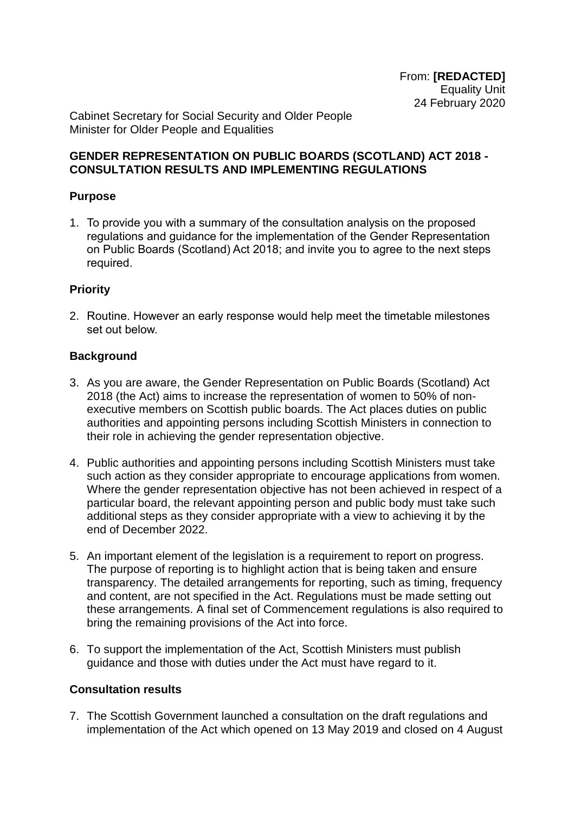Cabinet Secretary for Social Security and Older People Minister for Older People and Equalities

## **GENDER REPRESENTATION ON PUBLIC BOARDS (SCOTLAND) ACT 2018 - CONSULTATION RESULTS AND IMPLEMENTING REGULATIONS**

## **Purpose**

1. To provide you with a summary of the consultation analysis on the proposed regulations and guidance for the implementation of the Gender Representation on Public Boards (Scotland) Act 2018; and invite you to agree to the next steps required.

## **Priority**

2. Routine. However an early response would help meet the timetable milestones set out below.

### **Background**

- 3. As you are aware, the Gender Representation on Public Boards (Scotland) Act 2018 (the Act) aims to increase the representation of women to 50% of nonexecutive members on Scottish public boards. The Act places duties on public authorities and appointing persons including Scottish Ministers in connection to their role in achieving the gender representation objective.
- 4. Public authorities and appointing persons including Scottish Ministers must take such action as they consider appropriate to encourage applications from women. Where the gender representation objective has not been achieved in respect of a particular board, the relevant appointing person and public body must take such additional steps as they consider appropriate with a view to achieving it by the end of December 2022.
- 5. An important element of the legislation is a requirement to report on progress. The purpose of reporting is to highlight action that is being taken and ensure transparency. The detailed arrangements for reporting, such as timing, frequency and content, are not specified in the Act. Regulations must be made setting out these arrangements. A final set of Commencement regulations is also required to bring the remaining provisions of the Act into force.
- 6. To support the implementation of the Act, Scottish Ministers must publish guidance and those with duties under the Act must have regard to it.

### **Consultation results**

7. The Scottish Government launched a consultation on the draft regulations and implementation of the Act which opened on 13 May 2019 and closed on 4 August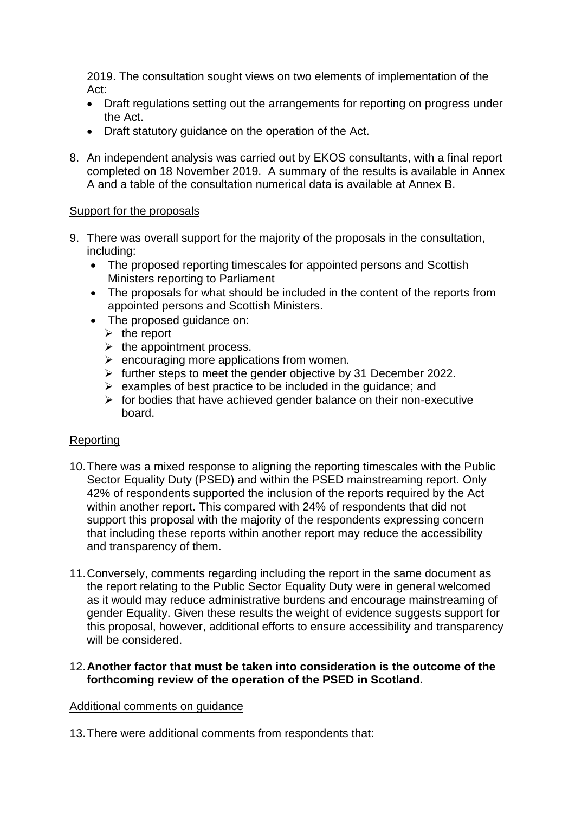2019. The consultation sought views on two elements of implementation of the Act:

- Draft regulations setting out the arrangements for reporting on progress under the Act.
- Draft statutory guidance on the operation of the Act.
- 8. An independent analysis was carried out by EKOS consultants, with a final report completed on 18 November 2019. A summary of the results is available in Annex A and a table of the consultation numerical data is available at Annex B.

## Support for the proposals

- 9. There was overall support for the majority of the proposals in the consultation, including:
	- The proposed reporting timescales for appointed persons and Scottish Ministers reporting to Parliament
	- The proposals for what should be included in the content of the reports from appointed persons and Scottish Ministers.
	- The proposed quidance on:
		- $\triangleright$  the report
		- $\triangleright$  the appointment process.
		- $\triangleright$  encouraging more applications from women.
		- $\triangleright$  further steps to meet the gender objective by 31 December 2022.
		- $\triangleright$  examples of best practice to be included in the quidance: and
		- $\triangleright$  for bodies that have achieved gender balance on their non-executive board.

## Reporting

- 10.There was a mixed response to aligning the reporting timescales with the Public Sector Equality Duty (PSED) and within the PSED mainstreaming report. Only 42% of respondents supported the inclusion of the reports required by the Act within another report. This compared with 24% of respondents that did not support this proposal with the majority of the respondents expressing concern that including these reports within another report may reduce the accessibility and transparency of them.
- 11.Conversely, comments regarding including the report in the same document as the report relating to the Public Sector Equality Duty were in general welcomed as it would may reduce administrative burdens and encourage mainstreaming of gender Equality. Given these results the weight of evidence suggests support for this proposal, however, additional efforts to ensure accessibility and transparency will be considered.
- 12.**Another factor that must be taken into consideration is the outcome of the forthcoming review of the operation of the PSED in Scotland.**

### Additional comments on guidance

13.There were additional comments from respondents that: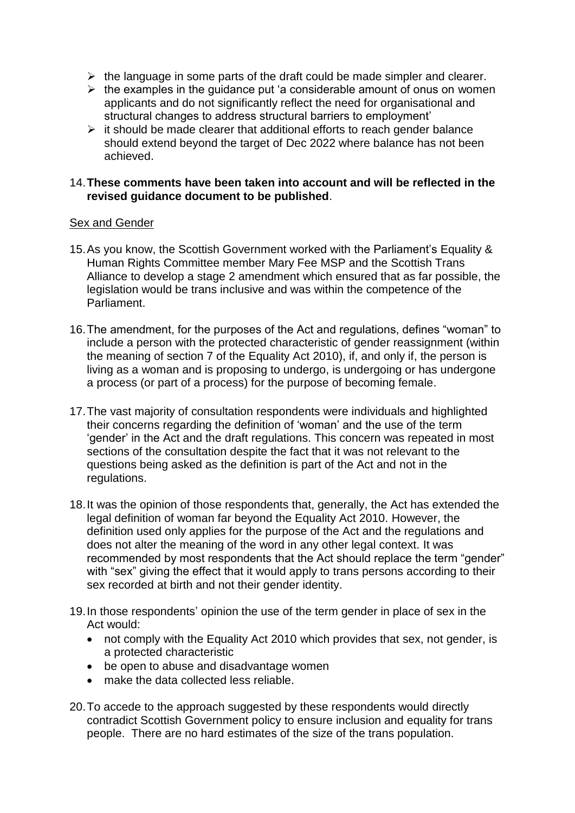- $\triangleright$  the language in some parts of the draft could be made simpler and clearer.
- $\triangleright$  the examples in the guidance put 'a considerable amount of onus on women applicants and do not significantly reflect the need for organisational and structural changes to address structural barriers to employment'
- $\triangleright$  it should be made clearer that additional efforts to reach gender balance should extend beyond the target of Dec 2022 where balance has not been achieved.

### 14.**These comments have been taken into account and will be reflected in the revised guidance document to be published**.

#### Sex and Gender

- 15.As you know, the Scottish Government worked with the Parliament's Equality & Human Rights Committee member Mary Fee MSP and the Scottish Trans Alliance to develop a stage 2 amendment which ensured that as far possible, the legislation would be trans inclusive and was within the competence of the Parliament.
- 16.The amendment, for the purposes of the Act and regulations, defines "woman" to include a person with the protected characteristic of gender reassignment (within the meaning of section 7 of the Equality Act 2010), if, and only if, the person is living as a woman and is proposing to undergo, is undergoing or has undergone a process (or part of a process) for the purpose of becoming female.
- 17.The vast majority of consultation respondents were individuals and highlighted their concerns regarding the definition of 'woman' and the use of the term 'gender' in the Act and the draft regulations. This concern was repeated in most sections of the consultation despite the fact that it was not relevant to the questions being asked as the definition is part of the Act and not in the regulations.
- 18.It was the opinion of those respondents that, generally, the Act has extended the legal definition of woman far beyond the Equality Act 2010. However, the definition used only applies for the purpose of the Act and the regulations and does not alter the meaning of the word in any other legal context. It was recommended by most respondents that the Act should replace the term "gender" with "sex" giving the effect that it would apply to trans persons according to their sex recorded at birth and not their gender identity.
- 19.In those respondents' opinion the use of the term gender in place of sex in the Act would:
	- not comply with the Equality Act 2010 which provides that sex, not gender, is a protected characteristic
	- be open to abuse and disadvantage women
	- make the data collected less reliable.
- 20.To accede to the approach suggested by these respondents would directly contradict Scottish Government policy to ensure inclusion and equality for trans people. There are no hard estimates of the size of the trans population.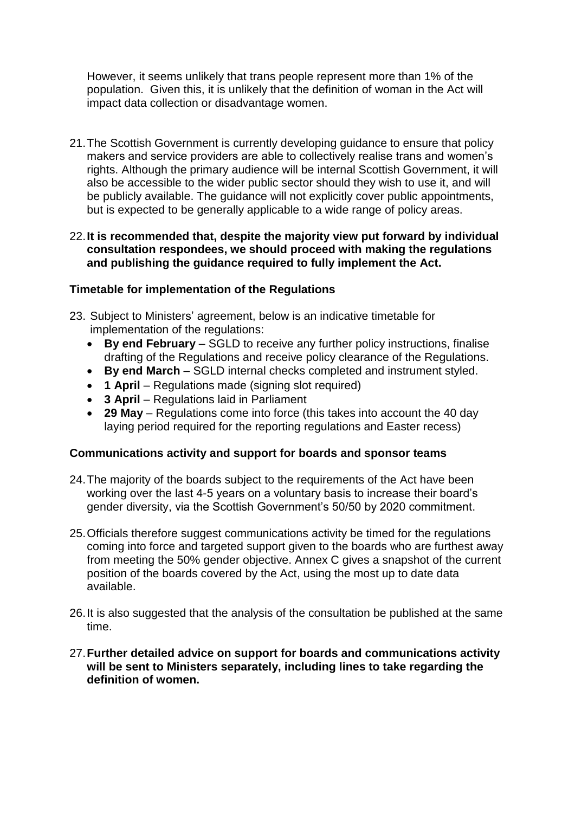However, it seems unlikely that trans people represent more than 1% of the population. Given this, it is unlikely that the definition of woman in the Act will impact data collection or disadvantage women.

21.The Scottish Government is currently developing guidance to ensure that policy makers and service providers are able to collectively realise trans and women's rights. Although the primary audience will be internal Scottish Government, it will also be accessible to the wider public sector should they wish to use it, and will be publicly available. The guidance will not explicitly cover public appointments, but is expected to be generally applicable to a wide range of policy areas.

### 22.**It is recommended that, despite the majority view put forward by individual consultation respondees, we should proceed with making the regulations and publishing the guidance required to fully implement the Act.**

## **Timetable for implementation of the Regulations**

- 23. Subject to Ministers' agreement, below is an indicative timetable for implementation of the regulations:
	- **By end February** SGLD to receive any further policy instructions, finalise drafting of the Regulations and receive policy clearance of the Regulations.
	- **By end March** SGLD internal checks completed and instrument styled.
	- **1 April** Regulations made (signing slot required)
	- **3 April** Regulations laid in Parliament
	- **29 May** Regulations come into force (this takes into account the 40 day laying period required for the reporting regulations and Easter recess)

## **Communications activity and support for boards and sponsor teams**

- 24.The majority of the boards subject to the requirements of the Act have been working over the last 4-5 years on a voluntary basis to increase their board's gender diversity, via the Scottish Government's 50/50 by 2020 commitment.
- 25.Officials therefore suggest communications activity be timed for the regulations coming into force and targeted support given to the boards who are furthest away from meeting the 50% gender objective. Annex C gives a snapshot of the current position of the boards covered by the Act, using the most up to date data available.
- 26.It is also suggested that the analysis of the consultation be published at the same time.
- 27.**Further detailed advice on support for boards and communications activity will be sent to Ministers separately, including lines to take regarding the definition of women.**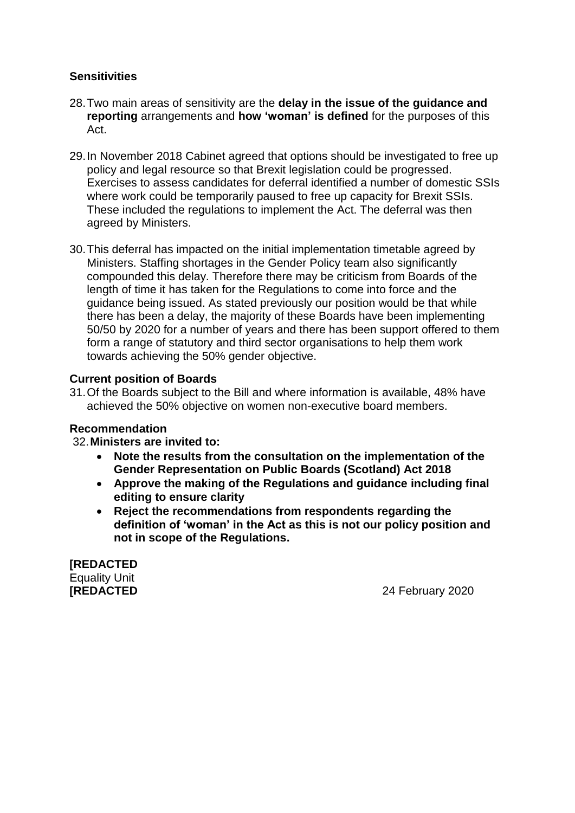## **Sensitivities**

- 28.Two main areas of sensitivity are the **delay in the issue of the guidance and reporting** arrangements and **how 'woman' is defined** for the purposes of this Act.
- 29.In November 2018 Cabinet agreed that options should be investigated to free up policy and legal resource so that Brexit legislation could be progressed. Exercises to assess candidates for deferral identified a number of domestic SSIs where work could be temporarily paused to free up capacity for Brexit SSIs. These included the regulations to implement the Act. The deferral was then agreed by Ministers.
- 30.This deferral has impacted on the initial implementation timetable agreed by Ministers. Staffing shortages in the Gender Policy team also significantly compounded this delay. Therefore there may be criticism from Boards of the length of time it has taken for the Regulations to come into force and the guidance being issued. As stated previously our position would be that while there has been a delay, the majority of these Boards have been implementing 50/50 by 2020 for a number of years and there has been support offered to them form a range of statutory and third sector organisations to help them work towards achieving the 50% gender objective.

## **Current position of Boards**

31.Of the Boards subject to the Bill and where information is available, 48% have achieved the 50% objective on women non-executive board members.

### **Recommendation**

32.**Ministers are invited to:**

- **Note the results from the consultation on the implementation of the Gender Representation on Public Boards (Scotland) Act 2018**
- **Approve the making of the Regulations and guidance including final editing to ensure clarity**
- **Reject the recommendations from respondents regarding the definition of 'woman' in the Act as this is not our policy position and not in scope of the Regulations.**

**[REDACTED** Equality Unit

**[REDACTED** 24 February 2020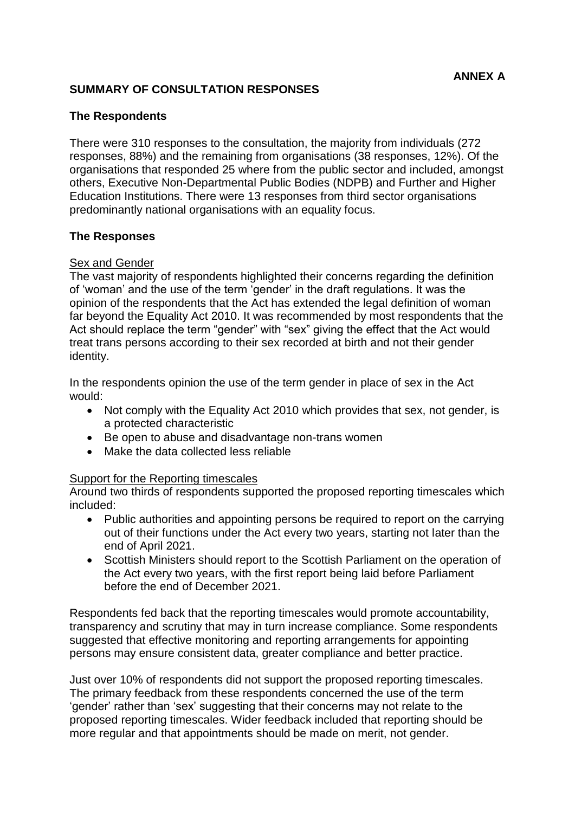## **SUMMARY OF CONSULTATION RESPONSES**

### **The Respondents**

There were 310 responses to the consultation, the majority from individuals (272 responses, 88%) and the remaining from organisations (38 responses, 12%). Of the organisations that responded 25 where from the public sector and included, amongst others, Executive Non-Departmental Public Bodies (NDPB) and Further and Higher Education Institutions. There were 13 responses from third sector organisations predominantly national organisations with an equality focus.

#### **The Responses**

## **Sex and Gender**

The vast majority of respondents highlighted their concerns regarding the definition of 'woman' and the use of the term 'gender' in the draft regulations. It was the opinion of the respondents that the Act has extended the legal definition of woman far beyond the Equality Act 2010. It was recommended by most respondents that the Act should replace the term "gender" with "sex" giving the effect that the Act would treat trans persons according to their sex recorded at birth and not their gender identity.

In the respondents opinion the use of the term gender in place of sex in the Act would:

- Not comply with the Equality Act 2010 which provides that sex, not gender, is a protected characteristic
- Be open to abuse and disadvantage non-trans women
- Make the data collected less reliable

### Support for the Reporting timescales

Around two thirds of respondents supported the proposed reporting timescales which included:

- Public authorities and appointing persons be required to report on the carrying out of their functions under the Act every two years, starting not later than the end of April 2021.
- Scottish Ministers should report to the Scottish Parliament on the operation of the Act every two years, with the first report being laid before Parliament before the end of December 2021.

Respondents fed back that the reporting timescales would promote accountability, transparency and scrutiny that may in turn increase compliance. Some respondents suggested that effective monitoring and reporting arrangements for appointing persons may ensure consistent data, greater compliance and better practice.

Just over 10% of respondents did not support the proposed reporting timescales. The primary feedback from these respondents concerned the use of the term 'gender' rather than 'sex' suggesting that their concerns may not relate to the proposed reporting timescales. Wider feedback included that reporting should be more regular and that appointments should be made on merit, not gender.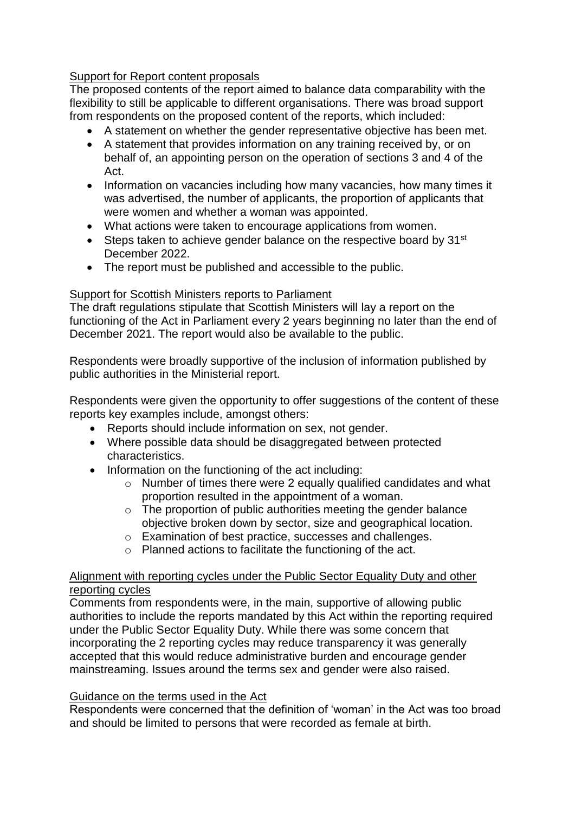## Support for Report content proposals

The proposed contents of the report aimed to balance data comparability with the flexibility to still be applicable to different organisations. There was broad support from respondents on the proposed content of the reports, which included:

- A statement on whether the gender representative objective has been met.
- A statement that provides information on any training received by, or on behalf of, an appointing person on the operation of sections 3 and 4 of the Act.
- Information on vacancies including how many vacancies, how many times it was advertised, the number of applicants, the proportion of applicants that were women and whether a woman was appointed.
- What actions were taken to encourage applications from women.
- $\bullet$  Steps taken to achieve gender balance on the respective board by 31<sup>st</sup> December 2022.
- The report must be published and accessible to the public.

### Support for Scottish Ministers reports to Parliament

The draft regulations stipulate that Scottish Ministers will lay a report on the functioning of the Act in Parliament every 2 years beginning no later than the end of December 2021. The report would also be available to the public.

Respondents were broadly supportive of the inclusion of information published by public authorities in the Ministerial report.

Respondents were given the opportunity to offer suggestions of the content of these reports key examples include, amongst others:

- Reports should include information on sex, not gender.
- Where possible data should be disaggregated between protected characteristics.
- Information on the functioning of the act including:
	- o Number of times there were 2 equally qualified candidates and what proportion resulted in the appointment of a woman.
	- $\circ$  The proportion of public authorities meeting the gender balance objective broken down by sector, size and geographical location.
	- o Examination of best practice, successes and challenges.
	- o Planned actions to facilitate the functioning of the act.

### Alignment with reporting cycles under the Public Sector Equality Duty and other reporting cycles

Comments from respondents were, in the main, supportive of allowing public authorities to include the reports mandated by this Act within the reporting required under the Public Sector Equality Duty. While there was some concern that incorporating the 2 reporting cycles may reduce transparency it was generally accepted that this would reduce administrative burden and encourage gender mainstreaming. Issues around the terms sex and gender were also raised.

### Guidance on the terms used in the Act

Respondents were concerned that the definition of 'woman' in the Act was too broad and should be limited to persons that were recorded as female at birth.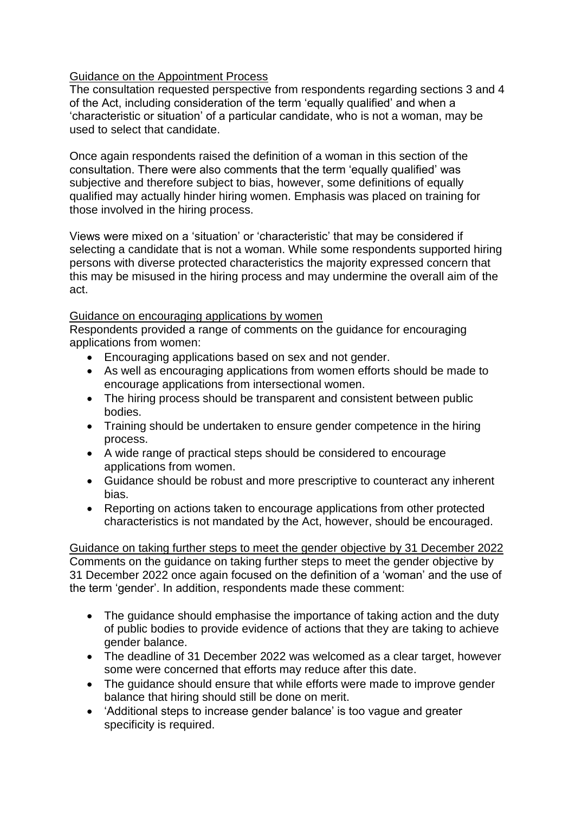## Guidance on the Appointment Process

The consultation requested perspective from respondents regarding sections 3 and 4 of the Act, including consideration of the term 'equally qualified' and when a 'characteristic or situation' of a particular candidate, who is not a woman, may be used to select that candidate.

Once again respondents raised the definition of a woman in this section of the consultation. There were also comments that the term 'equally qualified' was subjective and therefore subject to bias, however, some definitions of equally qualified may actually hinder hiring women. Emphasis was placed on training for those involved in the hiring process.

Views were mixed on a 'situation' or 'characteristic' that may be considered if selecting a candidate that is not a woman. While some respondents supported hiring persons with diverse protected characteristics the majority expressed concern that this may be misused in the hiring process and may undermine the overall aim of the act.

### Guidance on encouraging applications by women

Respondents provided a range of comments on the guidance for encouraging applications from women:

- Encouraging applications based on sex and not gender.
- As well as encouraging applications from women efforts should be made to encourage applications from intersectional women.
- The hiring process should be transparent and consistent between public bodies.
- Training should be undertaken to ensure gender competence in the hiring process.
- A wide range of practical steps should be considered to encourage applications from women.
- Guidance should be robust and more prescriptive to counteract any inherent bias.
- Reporting on actions taken to encourage applications from other protected characteristics is not mandated by the Act, however, should be encouraged.

Guidance on taking further steps to meet the gender objective by 31 December 2022 Comments on the guidance on taking further steps to meet the gender objective by 31 December 2022 once again focused on the definition of a 'woman' and the use of the term 'gender'. In addition, respondents made these comment:

- The guidance should emphasise the importance of taking action and the duty of public bodies to provide evidence of actions that they are taking to achieve gender balance.
- The deadline of 31 December 2022 was welcomed as a clear target, however some were concerned that efforts may reduce after this date.
- The quidance should ensure that while efforts were made to improve gender balance that hiring should still be done on merit.
- 'Additional steps to increase gender balance' is too vague and greater specificity is required.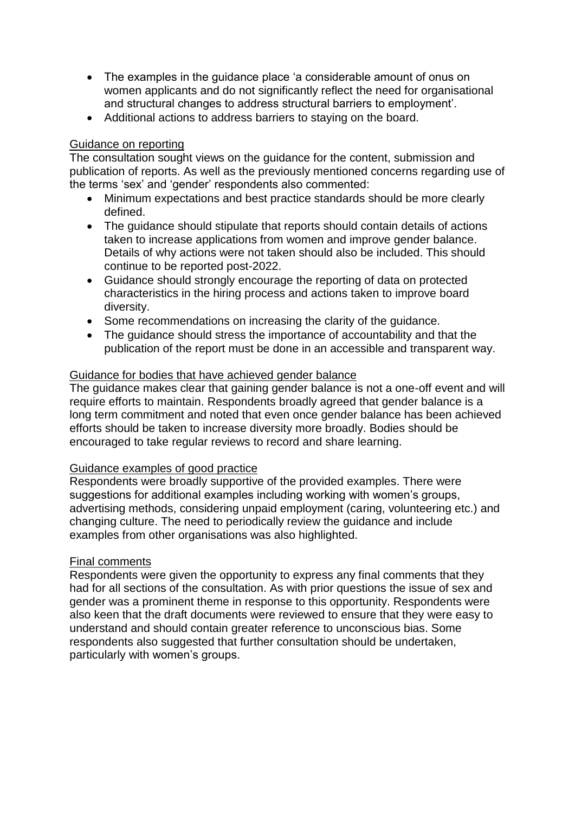- The examples in the guidance place 'a considerable amount of onus on women applicants and do not significantly reflect the need for organisational and structural changes to address structural barriers to employment'.
- Additional actions to address barriers to staying on the board.

## Guidance on reporting

The consultation sought views on the guidance for the content, submission and publication of reports. As well as the previously mentioned concerns regarding use of the terms 'sex' and 'gender' respondents also commented:

- Minimum expectations and best practice standards should be more clearly defined.
- The guidance should stipulate that reports should contain details of actions taken to increase applications from women and improve gender balance. Details of why actions were not taken should also be included. This should continue to be reported post-2022.
- Guidance should strongly encourage the reporting of data on protected characteristics in the hiring process and actions taken to improve board diversity.
- Some recommendations on increasing the clarity of the guidance.
- The quidance should stress the importance of accountability and that the publication of the report must be done in an accessible and transparent way.

## Guidance for bodies that have achieved gender balance

The guidance makes clear that gaining gender balance is not a one-off event and will require efforts to maintain. Respondents broadly agreed that gender balance is a long term commitment and noted that even once gender balance has been achieved efforts should be taken to increase diversity more broadly. Bodies should be encouraged to take regular reviews to record and share learning.

### Guidance examples of good practice

Respondents were broadly supportive of the provided examples. There were suggestions for additional examples including working with women's groups, advertising methods, considering unpaid employment (caring, volunteering etc.) and changing culture. The need to periodically review the guidance and include examples from other organisations was also highlighted.

## Final comments

Respondents were given the opportunity to express any final comments that they had for all sections of the consultation. As with prior questions the issue of sex and gender was a prominent theme in response to this opportunity. Respondents were also keen that the draft documents were reviewed to ensure that they were easy to understand and should contain greater reference to unconscious bias. Some respondents also suggested that further consultation should be undertaken, particularly with women's groups.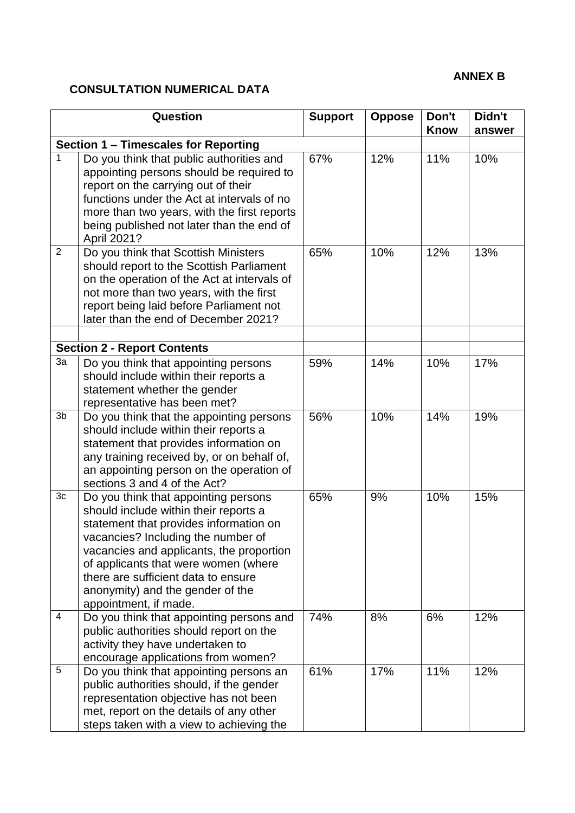# **ANNEX B**

# **CONSULTATION NUMERICAL DATA**

|                                    | <b>Question</b>                                                                                                                                                                                                                                                                                                                                       | <b>Support</b> | <b>Oppose</b> | Don't<br><b>Know</b> | Didn't<br>answer |  |
|------------------------------------|-------------------------------------------------------------------------------------------------------------------------------------------------------------------------------------------------------------------------------------------------------------------------------------------------------------------------------------------------------|----------------|---------------|----------------------|------------------|--|
|                                    | Section 1 - Timescales for Reporting                                                                                                                                                                                                                                                                                                                  |                |               |                      |                  |  |
| 1                                  | Do you think that public authorities and<br>appointing persons should be required to<br>report on the carrying out of their<br>functions under the Act at intervals of no<br>more than two years, with the first reports<br>being published not later than the end of<br>April 2021?                                                                  | 67%            | 12%           | 11%                  | 10%              |  |
| $\overline{2}$                     | Do you think that Scottish Ministers<br>should report to the Scottish Parliament<br>on the operation of the Act at intervals of<br>not more than two years, with the first<br>report being laid before Parliament not<br>later than the end of December 2021?                                                                                         | 65%            | 10%           | 12%                  | 13%              |  |
| <b>Section 2 - Report Contents</b> |                                                                                                                                                                                                                                                                                                                                                       |                |               |                      |                  |  |
| 3a                                 | Do you think that appointing persons<br>should include within their reports a<br>statement whether the gender<br>representative has been met?                                                                                                                                                                                                         | 59%            | 14%           | 10%                  | 17%              |  |
| 3b                                 | Do you think that the appointing persons<br>should include within their reports a<br>statement that provides information on<br>any training received by, or on behalf of,<br>an appointing person on the operation of<br>sections 3 and 4 of the Act?                                                                                                 | 56%            | 10%           | 14%                  | 19%              |  |
| 3c                                 | Do you think that appointing persons<br>should include within their reports a<br>statement that provides information on<br>vacancies? Including the number of<br>vacancies and applicants, the proportion<br>of applicants that were women (where<br>there are sufficient data to ensure<br>anonymity) and the gender of the<br>appointment, if made. | 65%            | 9%            | 10%                  | 15%              |  |
| 4                                  | Do you think that appointing persons and<br>public authorities should report on the<br>activity they have undertaken to<br>encourage applications from women?                                                                                                                                                                                         | 74%            | 8%            | 6%                   | 12%              |  |
| 5                                  | Do you think that appointing persons an<br>public authorities should, if the gender<br>representation objective has not been<br>met, report on the details of any other<br>steps taken with a view to achieving the                                                                                                                                   | 61%            | 17%           | 11%                  | 12%              |  |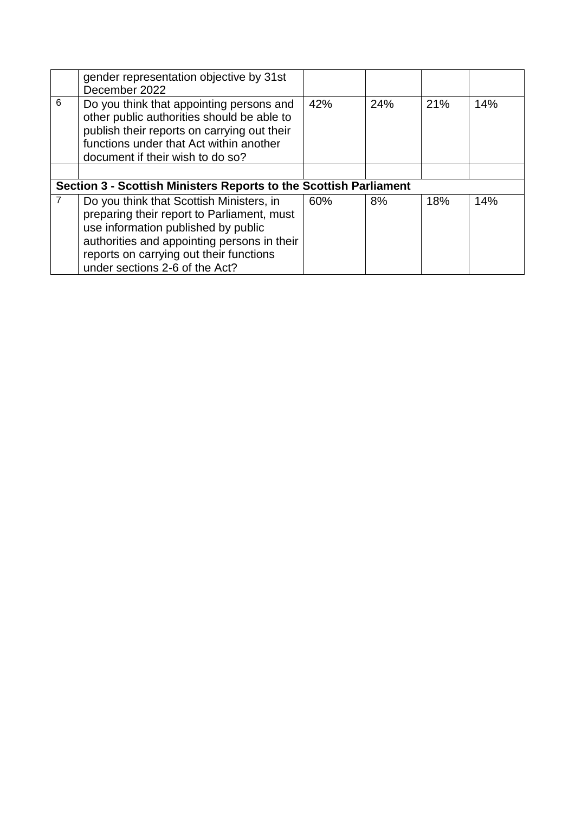|                                                                   | gender representation objective by 31st                                                                                                                                                                                                                   |     |     |     |     |  |  |  |
|-------------------------------------------------------------------|-----------------------------------------------------------------------------------------------------------------------------------------------------------------------------------------------------------------------------------------------------------|-----|-----|-----|-----|--|--|--|
|                                                                   | December 2022                                                                                                                                                                                                                                             |     |     |     |     |  |  |  |
| 6                                                                 | Do you think that appointing persons and<br>other public authorities should be able to<br>publish their reports on carrying out their<br>functions under that Act within another<br>document if their wish to do so?                                      | 42% | 24% | 21% | 14% |  |  |  |
|                                                                   |                                                                                                                                                                                                                                                           |     |     |     |     |  |  |  |
| Section 3 - Scottish Ministers Reports to the Scottish Parliament |                                                                                                                                                                                                                                                           |     |     |     |     |  |  |  |
|                                                                   | Do you think that Scottish Ministers, in<br>preparing their report to Parliament, must<br>use information published by public<br>authorities and appointing persons in their<br>reports on carrying out their functions<br>under sections 2-6 of the Act? | 60% | 8%  | 18% | 14% |  |  |  |